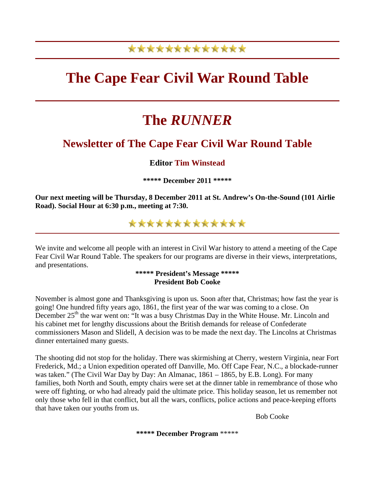# \*\*\*\*\*\*\*\*\*\*\*\*\*

# **The Cape Fear Civil War Round Table**

# **The** *RUNNER*

## **Newsletter of The Cape Fear Civil War Round Table**

### **Editor Tim Winstead**

**\*\*\*\*\* December 2011 \*\*\*\*\***

**Our next meeting will be Thursday, 8 December 2011 at St. Andrew's On-the-Sound (101 Airlie Road). Social Hour at 6:30 p.m., meeting at 7:30.**

## \*\*\*\*\*\*\*\*\*\*\*\*\*

We invite and welcome all people with an interest in Civil War history to attend a meeting of the Cape Fear Civil War Round Table. The speakers for our programs are diverse in their views, interpretations, and presentations.

#### **\*\*\*\*\* President's Message \*\*\*\*\* President Bob Cooke**

November is almost gone and Thanksgiving is upon us. Soon after that, Christmas; how fast the year is going! One hundred fifty years ago, 1861, the first year of the war was coming to a close. On December 25<sup>th</sup> the war went on: "It was a busy Christmas Day in the White House. Mr. Lincoln and his cabinet met for lengthy discussions about the British demands for release of Confederate commissioners Mason and Slidell, A decision was to be made the next day. The Lincolns at Christmas dinner entertained many guests.

The shooting did not stop for the holiday. There was skirmishing at Cherry, western Virginia, near Fort Frederick, Md.; a Union expedition operated off Danville, Mo. Off Cape Fear, N.C., a blockade-runner was taken." (The Civil War Day by Day: An Almanac, 1861 – 1865, by E.B. Long). For many families, both North and South, empty chairs were set at the dinner table in remembrance of those who were off fighting, or who had already paid the ultimate price. This holiday season, let us remember not only those who fell in that conflict, but all the wars, conflicts, police actions and peace-keeping efforts that have taken our youths from us.

Bob Cooke

**\*\*\*\*\* December Program** \*\*\*\*\*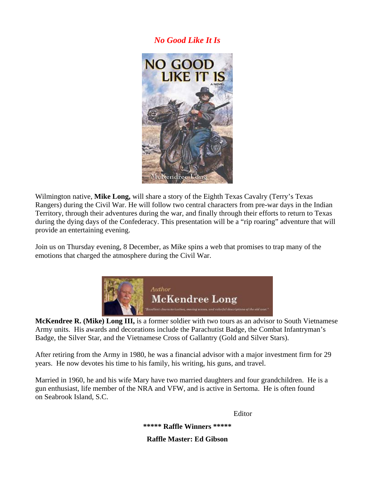### *No Good Like It Is*



Wilmington native, **Mike Long,** will share a story of the Eighth Texas Cavalry (Terry's Texas Rangers) during the Civil War. He will follow two central characters from pre-war days in the Indian Territory, through their adventures during the war, and finally through their efforts to return to Texas during the dying days of the Confederacy. This presentation will be a "rip roaring" adventure that will provide an entertaining evening.

Join us on Thursday evening, 8 December, as Mike spins a web that promises to trap many of the emotions that charged the atmosphere during the Civil War.



**McKendree R. (Mike) Long III,** is a former soldier with two tours as an advisor to South Vietnamese Army units. His awards and decorations include the Parachutist Badge, the Combat Infantryman's Badge, the Silver Star, and the Vietnamese Cross of Gallantry (Gold and Silver Stars).

After retiring from the Army in 1980, he was a financial advisor with a major investment firm for 29 years. He now devotes his time to his family, his writing, his guns, and travel.

Married in 1960, he and his wife Mary have two married daughters and four grandchildren. He is a gun enthusiast, life member of the NRA and VFW, and is active in Sertoma. He is often found on Seabrook Island, S.C.

 Editor **\*\*\*\*\* Raffle Winners \*\*\*\*\* Raffle Master: Ed Gibson**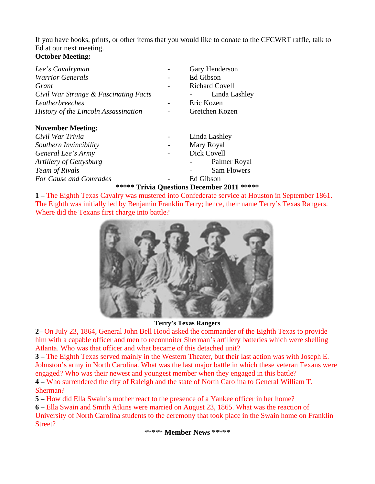If you have books, prints, or other items that you would like to donate to the CFCWRT raffle, talk to Ed at our next meeting.

## **October Meeting:**

| Gary Henderson        |
|-----------------------|
| Ed Gibson             |
| <b>Richard Covell</b> |
| Linda Lashley         |
| Eric Kozen            |
| Gretchen Kozen        |
|                       |
| Linda Lashley         |
| Mary Royal            |
| Dick Covell           |
| Palmer Royal          |
| <b>Sam Flowers</b>    |
| Ed Gibson             |
|                       |

#### **\*\*\*\*\* Trivia Questions December 2011 \*\*\*\*\***

**1 –** The Eighth Texas Cavalry was mustered into Confederate service at Houston in September 1861. The Eighth was initially led by Benjamin Franklin Terry; hence, their name Terry's Texas Rangers. Where did the Texans first charge into battle?



**Terry's Texas Rangers**

**2–** On July 23, 1864, General John Bell Hood asked the commander of the Eighth Texas to provide him with a capable officer and men to reconnoiter Sherman's artillery batteries which were shelling Atlanta. Who was that officer and what became of this detached unit?

**3 –** The Eighth Texas served mainly in the Western Theater, but their last action was with Joseph E. Johnston's army in North Carolina. What was the last major battle in which these veteran Texans were engaged? Who was their newest and youngest member when they engaged in this battle?

**4 –** Who surrendered the city of Raleigh and the state of North Carolina to General William T. Sherman?

**5 –** How did Ella Swain's mother react to the presence of a Yankee officer in her home?

**6 –** Ella Swain and Smith Atkins were married on August 23, 1865. What was the reaction of University of North Carolina students to the ceremony that took place in the Swain home on Franklin Street?

\*\*\*\*\* **Member News** \*\*\*\*\*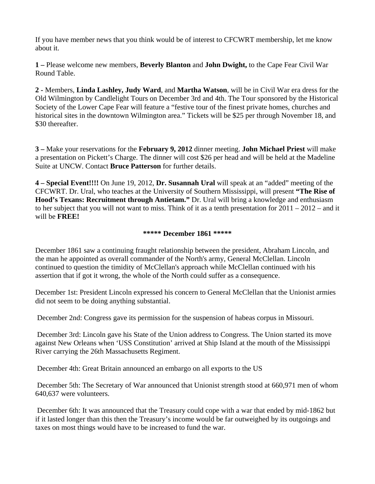If you have member news that you think would be of interest to CFCWRT membership, let me know about it.

**1 –** Please welcome new members, **Beverly Blanton** and **John Dwight,** to the Cape Fear Civil War Round Table.

**2 -** Members, **Linda Lashley, Judy Ward**, and **Martha Watson**, will be in Civil War era dress for the Old Wilmington by Candlelight Tours on December 3rd and 4th. The Tour sponsored by the Historical Society of the Lower Cape Fear will feature a "festive tour of the finest private homes, churches and historical sites in the downtown Wilmington area." Tickets will be \$25 per through November 18, and \$30 thereafter.

**3 –** Make your reservations for the **February 9, 2012** dinner meeting. **John Michael Priest** will make a presentation on Pickett's Charge. The dinner will cost \$26 per head and will be held at the Madeline Suite at UNCW. Contact **Bruce Patterson** for further details.

**4 – Special Event!!!!** On June 19, 2012, **Dr. Susannah Ural** will speak at an "added" meeting of the CFCWRT. Dr. Ural, who teaches at the University of Southern Mississippi, will present **"The Rise of Hood's Texans: Recruitment through Antietam."** Dr. Ural will bring a knowledge and enthusiasm to her subject that you will not want to miss. Think of it as a tenth presentation for 2011 – 2012 – and it will be **FREE!**

#### **\*\*\*\*\* December 1861 \*\*\*\*\***

December 1861 saw a continuing fraught relationship between the president, Abraham Lincoln, and the man he appointed as overall commander of the North's army, General McClellan. Lincoln continued to question the timidity of McClellan's approach while McClellan continued with his assertion that if got it wrong, the whole of the North could suffer as a consequence.

December 1st: President Lincoln expressed his concern to General McClellan that the Unionist armies did not seem to be doing anything substantial.

December 2nd: Congress gave its permission for the suspension of habeas corpus in Missouri.

 December 3rd: Lincoln gave his State of the Union address to Congress. The Union started its move against New Orleans when 'USS Constitution' arrived at Ship Island at the mouth of the Mississippi River carrying the 26th Massachusetts Regiment.

December 4th: Great Britain announced an embargo on all exports to the US

 December 5th: The Secretary of War announced that Unionist strength stood at 660,971 men of whom 640,637 were volunteers.

 December 6th: It was announced that the Treasury could cope with a war that ended by mid-1862 but if it lasted longer than this then the Treasury's income would be far outweighed by its outgoings and taxes on most things would have to be increased to fund the war.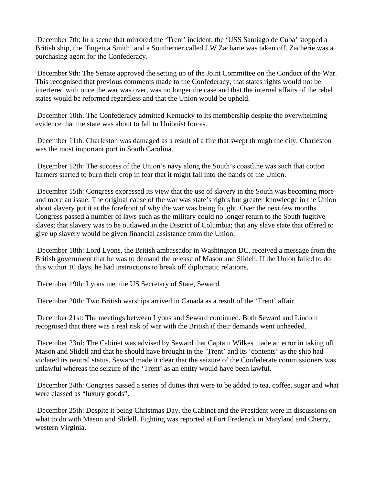December 7th: In a scene that mirrored the 'Trent' incident, the 'USS Santiago de Cuba' stopped a British ship, the 'Eugenia Smith' and a Southerner called J W Zacharie was taken off. Zacherie was a purchasing agent for the Confederacy.

 December 9th: The Senate approved the setting up of the Joint Committee on the Conduct of the War. This recognised that previous comments made to the Confederacy, that states rights would not be interfered with once the war was over, was no longer the case and that the internal affairs of the rebel states would be reformed regardless and that the Union would be upheld.

 December 10th: The Confederacy admitted Kentucky to its membership despite the overwhelming evidence that the state was about to fall to Unionist forces.

 December 11th: Charleston was damaged as a result of a fire that swept through the city. Charleston was the most important port in South Carolina.

 December 12th: The success of the Union's navy along the South's coastline was such that cotton farmers started to burn their crop in fear that it might fall into the hands of the Union.

 December 15th: Congress expressed its view that the use of slavery in the South was becoming more and more an issue. The original cause of the war was state's rights but greater knowledge in the Union about slavery put it at the forefront of why the war was being fought. Over the next few months Congress passed a number of laws such as the military could no longer return to the South fugitive slaves; that slavery was to be outlawed in the District of Columbia; that any slave state that offered to give up slavery would be given financial assistance from the Union.

 December 18th: Lord Lyons, the British ambassador in Washington DC, received a message from the British government that he was to demand the release of Mason and Slidell. If the Union failed to do this within 10 days, he had instructions to break off diplomatic relations.

December 19th: Lyons met the US Secretary of State, Seward.

December 20th: Two British warships arrived in Canada as a result of the 'Trent' affair.

 December 21st: The meetings between Lyons and Seward continued. Both Seward and Lincoln recognised that there was a real risk of war with the British if their demands went unheeded.

 December 23rd: The Cabinet was advised by Seward that Captain Wilkes made an error in taking off Mason and Slidell and that he should have brought in the 'Trent' and its 'contents' as the ship had violated its neutral status. Seward made it clear that the seizure of the Confederate commissioners was unlawful whereas the seizure of the 'Trent' as an entity would have been lawful.

 December 24th: Congress passed a series of duties that were to be added to tea, coffee, sugar and what were classed as "luxury goods".

 December 25th: Despite it being Christmas Day, the Cabinet and the President were in discussions on what to do with Mason and Slidell. Fighting was reported at Fort Frederick in Maryland and Cherry, western Virginia.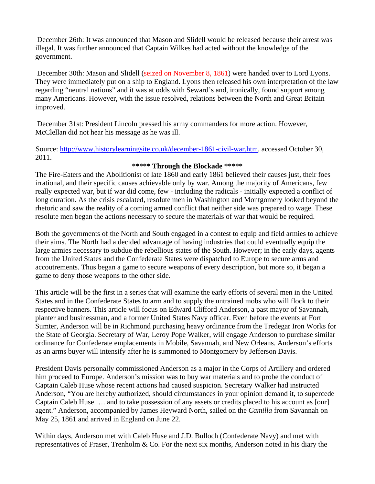December 26th: It was announced that Mason and Slidell would be released because their arrest was illegal. It was further announced that Captain Wilkes had acted without the knowledge of the government.

 December 30th: Mason and Slidell (seized on November 8, 1861) were handed over to Lord Lyons. They were immediately put on a ship to England. Lyons then released his own interpretation of the law regarding "neutral nations" and it was at odds with Seward's and, ironically, found support among many Americans. However, with the issue resolved, relations between the North and Great Britain improved.

 December 31st: President Lincoln pressed his army commanders for more action. However, McClellan did not hear his message as he was ill.

Source: <http://www.historylearningsite.co.uk/december-1861-civil-war.htm>, accessed October 30, 2011.

#### **\*\*\*\*\* Through the Blockade \*\*\*\*\***

The Fire-Eaters and the Abolitionist of late 1860 and early 1861 believed their causes just, their foes irrational, and their specific causes achievable only by war. Among the majority of Americans, few really expected war, but if war did come, few - including the radicals - initially expected a conflict of long duration. As the crisis escalated, resolute men in Washington and Montgomery looked beyond the rhetoric and saw the reality of a coming armed conflict that neither side was prepared to wage. These resolute men began the actions necessary to secure the materials of war that would be required.

Both the governments of the North and South engaged in a contest to equip and field armies to achieve their aims. The North had a decided advantage of having industries that could eventually equip the large armies necessary to subdue the rebellious states of the South. However; in the early days, agents from the United States and the Confederate States were dispatched to Europe to secure arms and accoutrements. Thus began a game to secure weapons of every description, but more so, it began a game to deny those weapons to the other side.

This article will be the first in a series that will examine the early efforts of several men in the United States and in the Confederate States to arm and to supply the untrained mobs who will flock to their respective banners. This article will focus on Edward Clifford Anderson, a past mayor of Savannah, planter and businessman, and a former United States Navy officer. Even before the events at Fort Sumter, Anderson will be in Richmond purchasing heavy ordinance from the Tredegar Iron Works for the State of Georgia. Secretary of War, Leroy Pope Walker, will engage Anderson to purchase similar ordinance for Confederate emplacements in Mobile, Savannah, and New Orleans. Anderson's efforts as an arms buyer will intensify after he is summoned to Montgomery by Jefferson Davis.

President Davis personally commissioned Anderson as a major in the Corps of Artillery and ordered him proceed to Europe. Anderson's mission was to buy war materials and to probe the conduct of Captain Caleb Huse whose recent actions had caused suspicion. Secretary Walker had instructed Anderson, "You are hereby authorized, should circumstances in your opinion demand it, to supercede Captain Caleb Huse …. and to take possession of any assets or credits placed to his account as [our] agent." Anderson, accompanied by James Heyward North, sailed on the *Camilla* from Savannah on May 25, 1861 and arrived in England on June 22.

Within days, Anderson met with Caleb Huse and J.D. Bulloch (Confederate Navy) and met with representatives of Fraser, Trenholm & Co. For the next six months, Anderson noted in his diary the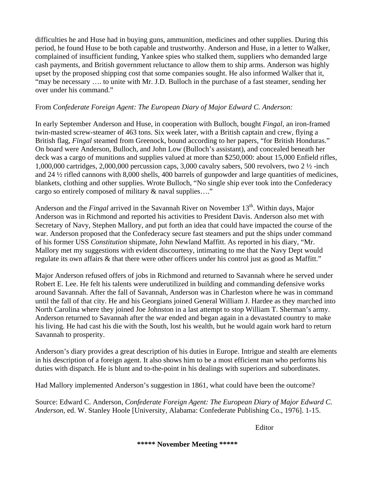difficulties he and Huse had in buying guns, ammunition, medicines and other supplies. During this period, he found Huse to be both capable and trustworthy. Anderson and Huse, in a letter to Walker, complained of insufficient funding, Yankee spies who stalked them, suppliers who demanded large cash payments, and British government reluctance to allow them to ship arms. Anderson was highly upset by the proposed shipping cost that some companies sought. He also informed Walker that it, "may be necessary …. to unite with Mr. J.D. Bulloch in the purchase of a fast steamer, sending her over under his command."

#### From *Confederate Foreign Agent: The European Diary of Major Edward C. Anderson:*

In early September Anderson and Huse, in cooperation with Bulloch, bought *Fingal,* an iron-framed twin-masted screw-steamer of 463 tons. Six week later, with a British captain and crew, flying a British flag, *Fingal* steamed from Greenock, bound according to her papers, "for British Honduras." On board were Anderson, Bulloch, and John Low (Bulloch's assistant), and concealed beneath her deck was a cargo of munitions and supplies valued at more than \$250,000: about 15,000 Enfield rifles, 1,000,000 cartridges, 2,000,000 percussion caps, 3,000 cavalry sabers, 500 revolvers, two 2 ½ -inch and 24 ½ rifled cannons with 8,000 shells, 400 barrels of gunpowder and large quantities of medicines, blankets, clothing and other supplies. Wrote Bulloch, "No single ship ever took into the Confederacy cargo so entirely composed of military & naval supplies…."

Anderson and the *Fingal* arrived in the Savannah River on November 13<sup>th</sup>. Within days, Major Anderson was in Richmond and reported his activities to President Davis. Anderson also met with Secretary of Navy, Stephen Mallory, and put forth an idea that could have impacted the course of the war. Anderson proposed that the Confederacy secure fast steamers and put the ships under command of his former USS *Constitution* shipmate, John Newland Maffitt. As reported in his diary, "Mr. Mallory met my suggestions with evident discourtesy, intimating to me that the Navy Dept would regulate its own affairs & that there were other officers under his control just as good as Maffitt."

Major Anderson refused offers of jobs in Richmond and returned to Savannah where he served under Robert E. Lee. He felt his talents were underutilized in building and commanding defensive works around Savannah. After the fall of Savannah, Anderson was in Charleston where he was in command until the fall of that city. He and his Georgians joined General William J. Hardee as they marched into North Carolina where they joined Joe Johnston in a last attempt to stop William T. Sherman's army. Anderson returned to Savannah after the war ended and began again in a devastated country to make his living. He had cast his die with the South, lost his wealth, but he would again work hard to return Savannah to prosperity.

Anderson's diary provides a great description of his duties in Europe. Intrigue and stealth are elements in his description of a foreign agent. It also shows him to be a most efficient man who performs his duties with dispatch. He is blunt and to-the-point in his dealings with superiors and subordinates.

Had Mallory implemented Anderson's suggestion in 1861, what could have been the outcome?

Source: Edward C. Anderson, *Confederate Foreign Agent: The European Diary of Major Edward C. Anderson,* ed. W. Stanley Hoole [University, Alabama: Confederate Publishing Co., 1976]. 1-15.

Editor

**\*\*\*\*\* November Meeting \*\*\*\*\***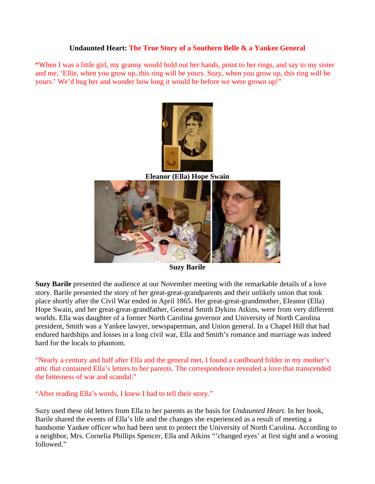#### **Undaunted Heart: The True Story of a Southern Belle & a Yankee General**

**"**When I was a little girl, my granny would hold out her hands, point to her rings, and say to my sister and me, 'Ellie, when you grow up, this ring will be yours. Suzy, when you grow up, this ring will be yours.' We'd hug her and wonder how long it would be before we were grown up!"



**Eleanor (Ella) Hope Swain**



**Suzy Barile**

**Suzy Barile** presented the audience at our November meeting with the remarkable details of a love story. Barile presented the story of her great-great-grandparents and their unlikely union that took place shortly after the Civil War ended in April 1865. Her great-great-grandmother, Eleanor (Ella) Hope Swain, and her great-great-grandfather, General Smith Dykins Atkins, were from very different worlds. Ella was daughter of a former North Carolina governor and University of North Carolina president, Smith was a Yankee lawyer, newspaperman, and Union general. In a Chapel Hill that had endured hardships and losses in a long civil war, Ella and Smith's romance and marriage was indeed hard for the locals to phantom.

"Nearly a century and half after Ella and the general met, I found a cardboard folder in my mother's attic that contained Ella's letters to her parents. The correspondence revealed a love that transcended the bitterness of war and scandal."

"After reading Ella's words, I knew I had to tell their story."

Suzy used these old letters from Ella to her parents as the basis for *Undaunted Heart.* In her book, Barile shared the events of Ella's life and the changes she experienced as a result of meeting a handsome Yankee officer who had been sent to protect the University of North Carolina. According to a neighbor, Mrs. Cornelia Phillips Spencer, Ella and Atkins "'changed eyes' at first sight and a wooing followed."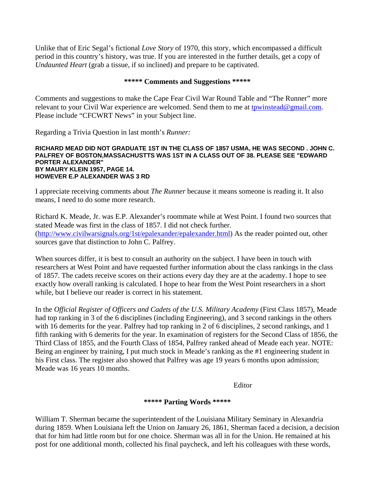Unlike that of Eric Segal's fictional *Love Story* of 1970, this story, which encompassed a difficult period in this country's history, was true. If you are interested in the further details, get a copy of *Undaunted Heart* (grab a tissue, if so inclined) and prepare to be captivated.

#### **\*\*\*\*\* Comments and Suggestions \*\*\*\*\***

Comments and suggestions to make the Cape Fear Civil War Round Table and "The Runner" more relevant to your Civil War experience are welcomed. Send them to me at [tpwinstead@gmail.com.](mailto:tpwinstead@gmail.com) Please include "CFCWRT News" in your Subject line.

Regarding a Trivia Question in last month's *Runner:*

#### **RICHARD MEAD DID NOT GRADUATE 1ST IN THE CLASS OF 1857 USMA, HE WAS SECOND . JOHN C. PALFREY OF BOSTON,MASSACHUSTTS WAS 1ST IN A CLASS OUT OF 38. PLEASE SEE "EDWARD PORTER ALEXANDER" BY MAURY KLEIN 1957, PAGE 14. HOWEVER E.P ALEXANDER WAS 3 RD**

I appreciate receiving comments about *The Runner* because it means someone is reading it. It also means, I need to do some more research.

Richard K. Meade, Jr. was E.P. Alexander's roommate while at West Point. I found two sources that stated Meade was first in the class of 1857. I did not check further. ([http://www.civilwarsignals.org/1st/epalexander/epalexander.html\)](http://www.civilwarsignals.org/1st/epalexander/epalexander.html) As the reader pointed out, other sources gave that distinction to John C. Palfrey.

When sources differ, it is best to consult an authority on the subject. I have been in touch with researchers at West Point and have requested further information about the class rankings in the class of 1857. The cadets receive scores on their actions every day they are at the academy. I hope to see exactly how overall ranking is calculated. I hope to hear from the West Point researchers in a short while, but I believe our reader is correct in his statement.

In the *Official Register of Officers and Cadets of the U.S. Military Academy* (First Class 1857), Meade had top ranking in 3 of the 6 disciplines (including Engineering), and 3 second rankings in the others with 16 demerits for the year. Palfrey had top ranking in 2 of 6 disciplines, 2 second rankings, and 1 fifth ranking with 6 demerits for the year. In examination of registers for the Second Class of 1856, the Third Class of 1855, and the Fourth Class of 1854, Palfrey ranked ahead of Meade each year. NOTE: Being an engineer by training, I put much stock in Meade's ranking as the #1 engineering student in his First class. The register also showed that Palfrey was age 19 years 6 months upon admission; Meade was 16 years 10 months.

Editor

#### **\*\*\*\*\* Parting Words \*\*\*\*\***

William T. Sherman became the superintendent of the Louisiana Military Seminary in Alexandria during 1859. When Louisiana left the Union on January 26, 1861, Sherman faced a decision, a decision that for him had little room but for one choice. Sherman was all in for the Union. He remained at his post for one additional month, collected his final paycheck, and left his colleagues with these words,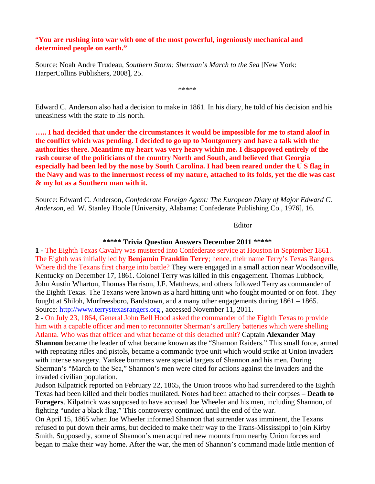"**You are rushing into war with one of the most powerful, ingeniously mechanical and determined people on earth."**

Source: Noah Andre Trudeau, *Southern Storm: Sherman's March to the Sea* [New York: HarperCollins Publishers, 2008], 25.

\*\*\*\*\*

Edward C. Anderson also had a decision to make in 1861. In his diary, he told of his decision and his uneasiness with the state to his north.

**….. I had decided that under the circumstances it would be impossible for me to stand aloof in the conflict which was pending. I decided to go up to Montgomery and have a talk with the authorities there. Meantime my heart was very heavy within me. I disapproved entirely of the rash course of the politicians of the country North and South, and believed that Georgia especially had been led by the nose by South Carolina. I had been reared under the U S flag in the Navy and was to the innermost recess of my nature, attached to its folds, yet the die was cast & my lot as a Southern man with it.**

Source: Edward C. Anderson, *Confederate Foreign Agent: The European Diary of Major Edward C. Anderson,* ed. W. Stanley Hoole [University, Alabama: Confederate Publishing Co., 1976], 16.

Editor

#### **\*\*\*\*\* Trivia Question Answers December 2011 \*\*\*\*\***

**1 -** The Eighth Texas Cavalry was mustered into Confederate service at Houston in September 1861. The Eighth was initially led by **Benjamin Franklin Terry**; hence, their name Terry's Texas Rangers. Where did the Texans first charge into battle? They were engaged in a small action near Woodsonville, Kentucky on December 17, 1861. Colonel Terry was killed in this engagement. Thomas Lubbock, John Austin Wharton, Thomas Harrison, J.F. Matthews, and others followed Terry as commander of the Eighth Texas. The Texans were known as a hard hitting unit who fought mounted or on foot. They fought at Shiloh, Murfreesboro, Bardstown, and a many other engagements during 1861 – 1865. Source: [http://www.terrystexasrangers.org](http://www.terrystexasrangers.org/) , accessed November 11, 2011.

**2 -** On July 23, 1864, General John Bell Hood asked the commander of the Eighth Texas to provide him with a capable officer and men to reconnoiter Sherman's artillery batteries which were shelling Atlanta. Who was that officer and what became of this detached unit? Captain **Alexander May Shannon** became the leader of what became known as the "Shannon Raiders." This small force, armed with repeating rifles and pistols, became a commando type unit which would strike at Union invaders with intense savagery. Yankee bummers were special targets of Shannon and his men. During Sherman's "March to the Sea," Shannon's men were cited for actions against the invaders and the invaded civilian population.

Judson Kilpatrick reported on February 22, 1865, the Union troops who had surrendered to the Eighth Texas had been killed and their bodies mutilated. Notes had been attached to their corpses – **Death to Foragers**. Kilpatrick was supposed to have accused Joe Wheeler and his men, including Shannon, of fighting "under a black flag." This controversy continued until the end of the war.

On April 15, 1865 when Joe Wheeler informed Shannon that surrender was imminent, the Texans refused to put down their arms, but decided to make their way to the Trans-Mississippi to join Kirby Smith. Supposedly, some of Shannon's men acquired new mounts from nearby Union forces and began to make their way home. After the war, the men of Shannon's command made little mention of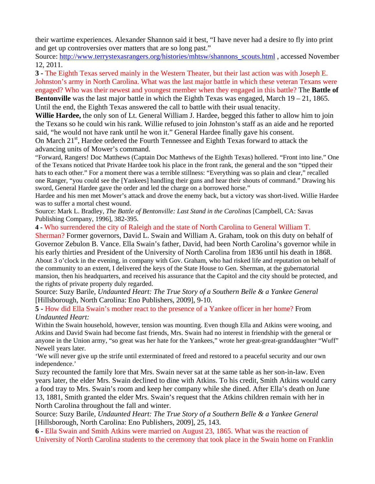their wartime experiences. Alexander Shannon said it best, "I have never had a desire to fly into print and get up controversies over matters that are so long past."

Source: [http://www.terrystexasrangers.org/histories/mhtsw/shannons\\_scouts.html](http://www.terrystexasrangers.org/histories/mhtsw/shannons_scouts.html) , accessed November 12, 2011.

**3 -** The Eighth Texas served mainly in the Western Theater, but their last action was with Joseph E. Johnston's army in North Carolina. What was the last major battle in which these veteran Texans were engaged? Who was their newest and youngest member when they engaged in this battle? The **Battle of Bentonville** was the last major battle in which the Eighth Texas was engaged, March 19 – 21, 1865. Until the end, the Eighth Texas answered the call to battle with their usual tenacity.

**Willie Hardee,** the only son of Lt. General William J. Hardee, begged this father to allow him to join the Texans so he could win his rank. Willie refused to join Johnston's staff as an aide and he reported said, "he would not have rank until he won it." General Hardee finally gave his consent.

On March  $21<sup>st</sup>$ , Hardee ordered the Fourth Tennessee and Eighth Texas forward to attack the advancing units of Mower's command.

"Forward, Rangers! Doc Matthews (Captain Doc Matthews of the Eighth Texas) hollered. "Front into line." One of the Texans noticed that Private Hardee took his place in the front rank, the general and the son "tipped their hats to each other." For a moment there was a terrible stillness: "Everything was so plain and clear," recalled one Ranger, "you could see the [Yankees] handling their guns and hear their shouts of command." Drawing his sword, General Hardee gave the order and led the charge on a borrowed horse."

Hardee and his men met Mower's attack and drove the enemy back, but a victory was short-lived. Willie Hardee was to suffer a mortal chest wound.

Source: Mark L. Bradley, *The Battle of Bentonville: Last Stand in the Carolinas* [Campbell, CA: Savas Publishing Company, 1996], 382-395.

**4 -** Who surrendered the city of Raleigh and the state of North Carolina to General William T.

Sherman? Former governors, David L. Swain and William A. Graham, took on this duty on behalf of Governor Zebulon B. Vance. Ella Swain's father, David, had been North Carolina's governor while in his early thirties and President of the University of North Carolina from 1836 until his death in 1868. About 3 o'clock in the evening, in company with Gov. Graham, who had risked life and reputation on behalf of the community to an extent, I delivered the keys of the State House to Gen. Sherman, at the gubernatorial mansion, then his headquarters, and received his assurance that the Capitol and the city should be protected, and the rights of private property duly regarded.

Source: Suzy Barile, *Undaunted Heart: The True Story of a Southern Belle & a Yankee General* [Hillsborough, North Carolina: Eno Publishers, 2009], 9-10.

**5 -** How did Ella Swain's mother react to the presence of a Yankee officer in her home? From *Undaunted Heart:*

Within the Swain household, however, tension was mounting. Even though Ella and Atkins were wooing, and Atkins and David Swain had become fast friends, Mrs. Swain had no interest in friendship with the general or anyone in the Union army, "so great was her hate for the Yankees," wrote her great-great-granddaughter "Wuff" Newell years later.

'We will never give up the strife until exterminated of freed and restored to a peaceful security and our own independence.'

Suzy recounted the family lore that Mrs. Swain never sat at the same table as her son-in-law. Even years later, the elder Mrs. Swain declined to dine with Atkins. To his credit, Smith Atkins would carry a food tray to Mrs. Swain's room and keep her company while she dined. After Ella's death on June 13, 1881, Smith granted the elder Mrs. Swain's request that the Atkins children remain with her in North Carolina throughout the fall and winter.

Source: Suzy Barile, *Undaunted Heart: The True Story of a Southern Belle & a Yankee General* [Hillsborough, North Carolina: Eno Publishers, 2009], 25, 143.

**6 -** Ella Swain and Smith Atkins were married on August 23, 1865. What was the reaction of University of North Carolina students to the ceremony that took place in the Swain home on Franklin